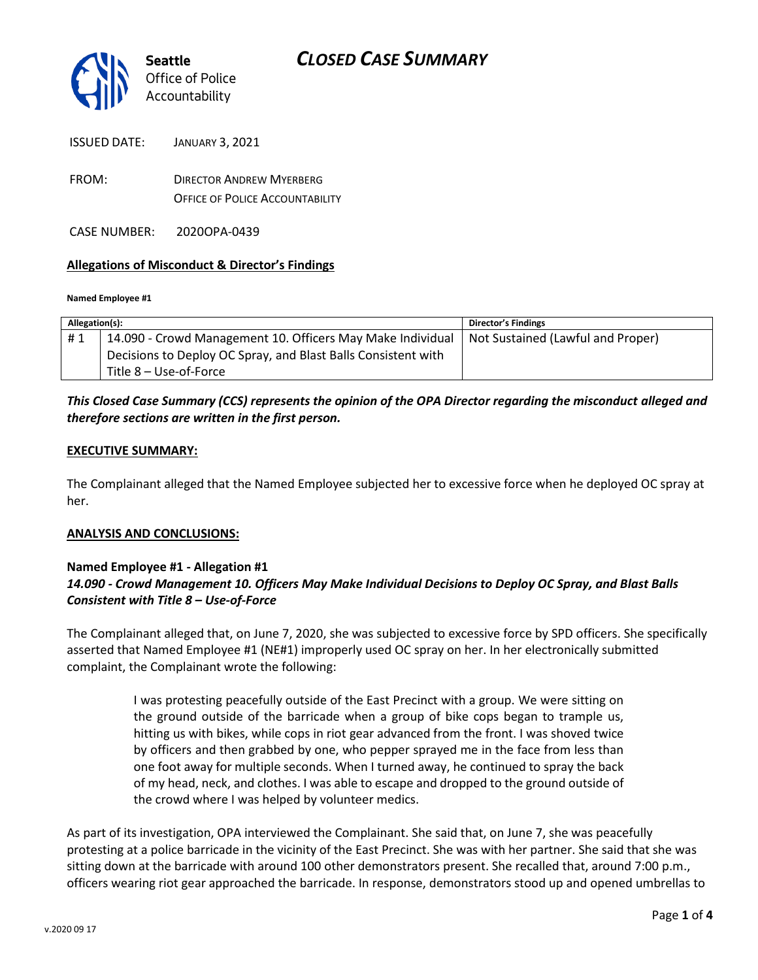

ISSUED DATE: JANUARY 3, 2021

FROM: DIRECTOR ANDREW MYERBERG OFFICE OF POLICE ACCOUNTABILITY

CASE NUMBER: 2020OPA-0439

#### **Allegations of Misconduct & Director's Findings**

**Named Employee #1**

| Allegation(s): |                                                               | Director's Findings               |
|----------------|---------------------------------------------------------------|-----------------------------------|
| #1             | 14.090 - Crowd Management 10. Officers May Make Individual    | Not Sustained (Lawful and Proper) |
|                | Decisions to Deploy OC Spray, and Blast Balls Consistent with |                                   |
|                | Title 8 – Use-of-Force                                        |                                   |

### *This Closed Case Summary (CCS) represents the opinion of the OPA Director regarding the misconduct alleged and therefore sections are written in the first person.*

#### **EXECUTIVE SUMMARY:**

The Complainant alleged that the Named Employee subjected her to excessive force when he deployed OC spray at her.

#### **ANALYSIS AND CONCLUSIONS:**

### **Named Employee #1 - Allegation #1** *14.090 - Crowd Management 10. Officers May Make Individual Decisions to Deploy OC Spray, and Blast Balls Consistent with Title 8 – Use-of-Force*

The Complainant alleged that, on June 7, 2020, she was subjected to excessive force by SPD officers. She specifically asserted that Named Employee #1 (NE#1) improperly used OC spray on her. In her electronically submitted complaint, the Complainant wrote the following:

> I was protesting peacefully outside of the East Precinct with a group. We were sitting on the ground outside of the barricade when a group of bike cops began to trample us, hitting us with bikes, while cops in riot gear advanced from the front. I was shoved twice by officers and then grabbed by one, who pepper sprayed me in the face from less than one foot away for multiple seconds. When I turned away, he continued to spray the back of my head, neck, and clothes. I was able to escape and dropped to the ground outside of the crowd where I was helped by volunteer medics.

As part of its investigation, OPA interviewed the Complainant. She said that, on June 7, she was peacefully protesting at a police barricade in the vicinity of the East Precinct. She was with her partner. She said that she was sitting down at the barricade with around 100 other demonstrators present. She recalled that, around 7:00 p.m., officers wearing riot gear approached the barricade. In response, demonstrators stood up and opened umbrellas to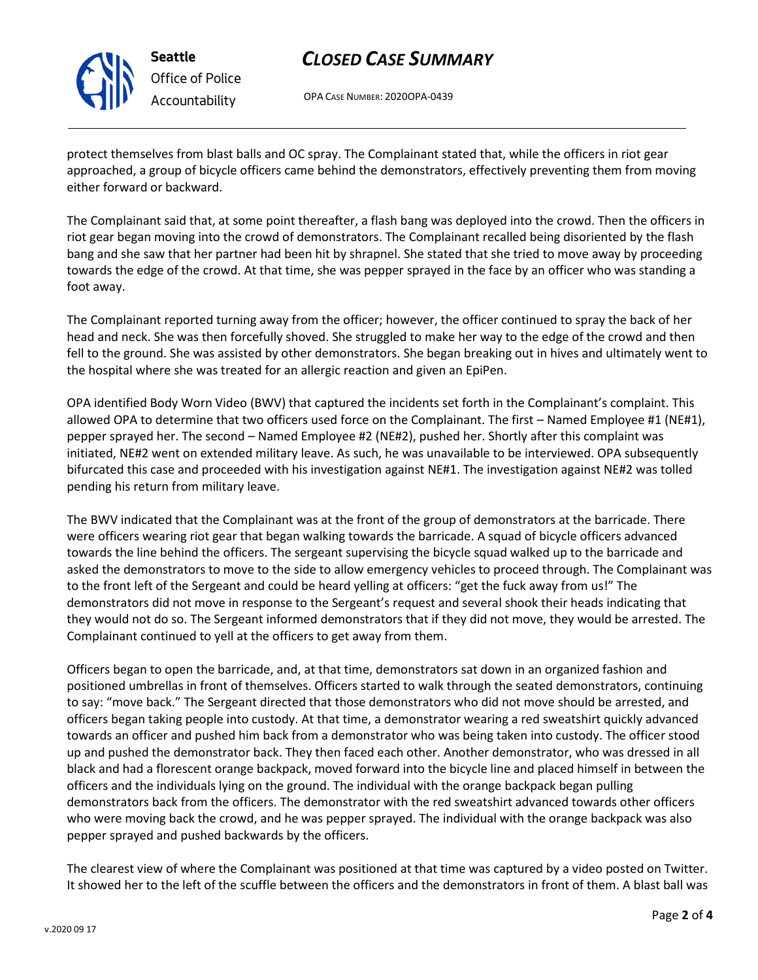

**Seattle** *Office of Police Accountability*

# *CLOSED CASE SUMMARY*

OPA CASE NUMBER: 2020OPA-0439

protect themselves from blast balls and OC spray. The Complainant stated that, while the officers in riot gear approached, a group of bicycle officers came behind the demonstrators, effectively preventing them from moving either forward or backward.

The Complainant said that, at some point thereafter, a flash bang was deployed into the crowd. Then the officers in riot gear began moving into the crowd of demonstrators. The Complainant recalled being disoriented by the flash bang and she saw that her partner had been hit by shrapnel. She stated that she tried to move away by proceeding towards the edge of the crowd. At that time, she was pepper sprayed in the face by an officer who was standing a foot away.

The Complainant reported turning away from the officer; however, the officer continued to spray the back of her head and neck. She was then forcefully shoved. She struggled to make her way to the edge of the crowd and then fell to the ground. She was assisted by other demonstrators. She began breaking out in hives and ultimately went to the hospital where she was treated for an allergic reaction and given an EpiPen.

OPA identified Body Worn Video (BWV) that captured the incidents set forth in the Complainant's complaint. This allowed OPA to determine that two officers used force on the Complainant. The first – Named Employee #1 (NE#1), pepper sprayed her. The second – Named Employee #2 (NE#2), pushed her. Shortly after this complaint was initiated, NE#2 went on extended military leave. As such, he was unavailable to be interviewed. OPA subsequently bifurcated this case and proceeded with his investigation against NE#1. The investigation against NE#2 was tolled pending his return from military leave.

The BWV indicated that the Complainant was at the front of the group of demonstrators at the barricade. There were officers wearing riot gear that began walking towards the barricade. A squad of bicycle officers advanced towards the line behind the officers. The sergeant supervising the bicycle squad walked up to the barricade and asked the demonstrators to move to the side to allow emergency vehicles to proceed through. The Complainant was to the front left of the Sergeant and could be heard yelling at officers: "get the fuck away from us!" The demonstrators did not move in response to the Sergeant's request and several shook their heads indicating that they would not do so. The Sergeant informed demonstrators that if they did not move, they would be arrested. The Complainant continued to yell at the officers to get away from them.

Officers began to open the barricade, and, at that time, demonstrators sat down in an organized fashion and positioned umbrellas in front of themselves. Officers started to walk through the seated demonstrators, continuing to say: "move back." The Sergeant directed that those demonstrators who did not move should be arrested, and officers began taking people into custody. At that time, a demonstrator wearing a red sweatshirt quickly advanced towards an officer and pushed him back from a demonstrator who was being taken into custody. The officer stood up and pushed the demonstrator back. They then faced each other. Another demonstrator, who was dressed in all black and had a florescent orange backpack, moved forward into the bicycle line and placed himself in between the officers and the individuals lying on the ground. The individual with the orange backpack began pulling demonstrators back from the officers. The demonstrator with the red sweatshirt advanced towards other officers who were moving back the crowd, and he was pepper sprayed. The individual with the orange backpack was also pepper sprayed and pushed backwards by the officers.

The clearest view of where the Complainant was positioned at that time was captured by a video posted on Twitter. It showed her to the left of the scuffle between the officers and the demonstrators in front of them. A blast ball was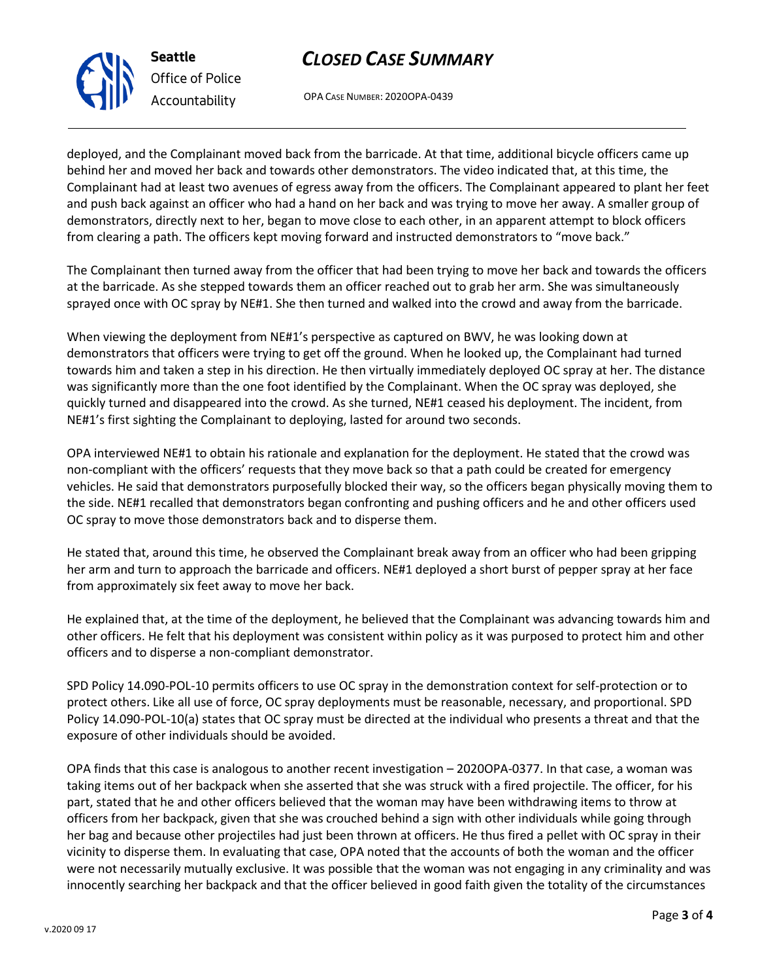### *CLOSED CASE SUMMARY*

OPA CASE NUMBER: 2020OPA-0439

deployed, and the Complainant moved back from the barricade. At that time, additional bicycle officers came up behind her and moved her back and towards other demonstrators. The video indicated that, at this time, the Complainant had at least two avenues of egress away from the officers. The Complainant appeared to plant her feet and push back against an officer who had a hand on her back and was trying to move her away. A smaller group of demonstrators, directly next to her, began to move close to each other, in an apparent attempt to block officers from clearing a path. The officers kept moving forward and instructed demonstrators to "move back."

The Complainant then turned away from the officer that had been trying to move her back and towards the officers at the barricade. As she stepped towards them an officer reached out to grab her arm. She was simultaneously sprayed once with OC spray by NE#1. She then turned and walked into the crowd and away from the barricade.

When viewing the deployment from NE#1's perspective as captured on BWV, he was looking down at demonstrators that officers were trying to get off the ground. When he looked up, the Complainant had turned towards him and taken a step in his direction. He then virtually immediately deployed OC spray at her. The distance was significantly more than the one foot identified by the Complainant. When the OC spray was deployed, she quickly turned and disappeared into the crowd. As she turned, NE#1 ceased his deployment. The incident, from NE#1's first sighting the Complainant to deploying, lasted for around two seconds.

OPA interviewed NE#1 to obtain his rationale and explanation for the deployment. He stated that the crowd was non-compliant with the officers' requests that they move back so that a path could be created for emergency vehicles. He said that demonstrators purposefully blocked their way, so the officers began physically moving them to the side. NE#1 recalled that demonstrators began confronting and pushing officers and he and other officers used OC spray to move those demonstrators back and to disperse them.

He stated that, around this time, he observed the Complainant break away from an officer who had been gripping her arm and turn to approach the barricade and officers. NE#1 deployed a short burst of pepper spray at her face from approximately six feet away to move her back.

He explained that, at the time of the deployment, he believed that the Complainant was advancing towards him and other officers. He felt that his deployment was consistent within policy as it was purposed to protect him and other officers and to disperse a non-compliant demonstrator.

SPD Policy 14.090-POL-10 permits officers to use OC spray in the demonstration context for self-protection or to protect others. Like all use of force, OC spray deployments must be reasonable, necessary, and proportional. SPD Policy 14.090-POL-10(a) states that OC spray must be directed at the individual who presents a threat and that the exposure of other individuals should be avoided.

OPA finds that this case is analogous to another recent investigation – 2020OPA-0377. In that case, a woman was taking items out of her backpack when she asserted that she was struck with a fired projectile. The officer, for his part, stated that he and other officers believed that the woman may have been withdrawing items to throw at officers from her backpack, given that she was crouched behind a sign with other individuals while going through her bag and because other projectiles had just been thrown at officers. He thus fired a pellet with OC spray in their vicinity to disperse them. In evaluating that case, OPA noted that the accounts of both the woman and the officer were not necessarily mutually exclusive. It was possible that the woman was not engaging in any criminality and was innocently searching her backpack and that the officer believed in good faith given the totality of the circumstances



**Seattle** *Office of Police Accountability*